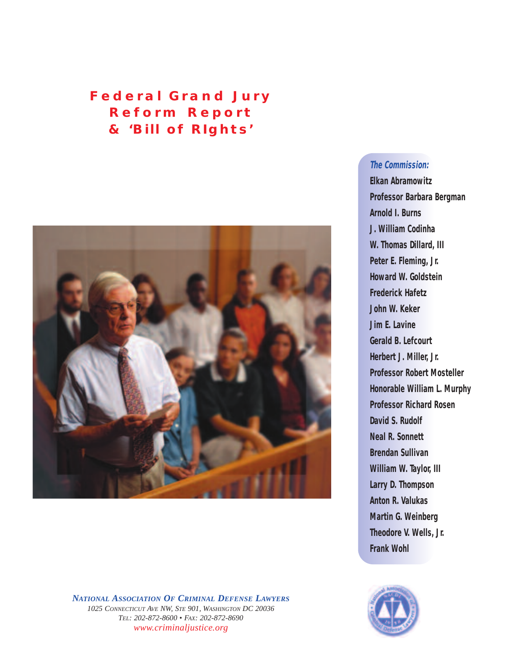# **Federal Grand Jury Reform Report & '***Bill of RIghts'*



*NATIONAL ASSOCIATION OF CRIMINAL DEFENSE LAWYERS 1025 CONNECTICUT AVE NW, STE 901, WASHINGTON DC 20036 TEL: 202-872-8600 • FAX: 202-872-8690 www.criminaljustice.org*

## **The Commission:**

**Elkan Abramowitz Professor Barbara Bergman Arnold I. Burns J. William Codinha W. Thomas Dillard, III Peter E. Fleming, Jr. Howard W. Goldstein Frederick Hafetz John W. Keker Jim E. Lavine Gerald B. Lefcourt Herbert J. Miller, Jr. Professor Robert Mosteller Honorable William L. Murphy Professor Richard Rosen David S. Rudolf Neal R. Sonnett Brendan Sullivan William W. Taylor, III Larry D. Thompson Anton R. Valukas Martin G. Weinberg Theodore V. Wells, Jr. Frank Wohl**

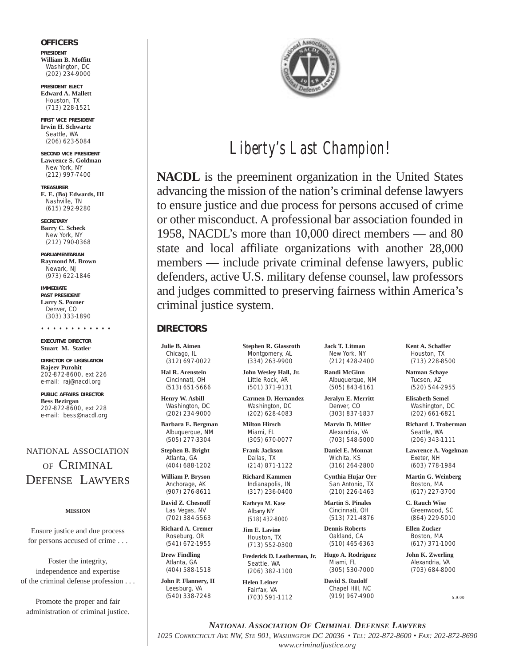#### **OFFICERS**

**PRESIDENT William B. Moffitt** Washington, DC (202) 234-9000

**PRESIDENT ELECT Edward A. Mallett** Houston, TX (713) 228-1521

**FIRST VICE PRESIDENT Irwin H. Schwartz** Seattle, WA (206) 623-5084

**SECOND VICE PRESIDENT Lawrence S. Goldman** New York, NY (212) 997-7400

**TREASURER E. E. (Bo) Edwards, III** Nashville, TN (615) 292-9280

**SECRETARY Barry C. Scheck** New York, NY (212) 790-0368

**PARLIAMENTARIAN Raymond M. Brown** Newark, NJ (973) 622-1846

**IMMEDIATE PAST PRESIDENT Larry S. Pozner** Denver, CO (303) 333-1890

• • • • • • • • • • • • **EXECUTIVE DIRECTOR Stuart M. Statler**

**DIRECTOR OF LEGISLATION Rajeev Purohit** 202-872-8600, ext 226 *e-mail: raj@nacdl.org*

**PUBLIC AFFAIRS DIRECTOR Bess Bezirgan** 202-872-8600, ext 228 *e-mail: bess@nacdl.org*

NATIONAL ASSOCIATION OF CRIMINAL DEFENSE LAWYERS

#### **MISSION**

Ensure justice and due process for persons accused of crime . . .

Foster the integrity, independence and expertise of the criminal defense profession . . .

Promote the proper and fair administration of criminal justice.



# *Liberty's Last Champion!*

**NACDL** is the preeminent organization in the United States advancing the mission of the nation's criminal defense lawyers to ensure justice and due process for persons accused of crime or other misconduct. A professional bar association founded in 1958, NACDL's more than 10,000 direct members — and 80 state and local affiliate organizations with another 28,000 members — include private criminal defense lawyers, public defenders, active U.S. military defense counsel, law professors and judges committed to preserving fairness within America's criminal justice system.

### **DIRECTORS**

**Julie B. Aimen** Chicago, IL (312) 697-0022

**Hal R. Arenstein** Cincinnati, OH (513) 651-5666

**Henry W. Asbill** Washington, DC (202) 234-9000

**Barbara E. Bergman** Albuquerque, NM (505) 277-3304

**Stephen B. Bright** Atlanta, GA (404) 688-1202

**William P. Bryson** Anchorage, AK (907) 276-8611

**David Z. Chesnoff** Las Vegas, NV (702) 384-5563

**Richard A. Cremer** Roseburg, OR (541) 672-1955

**Drew Findling** Atlanta, GA (404) 588-1518

**John P. Flannery, II** Leesburg, VA (540) 338-7248

**Stephen R. Glassroth** Montgomery, AL (334) 263-9900

**John Wesley Hall, Jr.** Little Rock, AR (501) 371-9131

**Carmen D. Hernandez** Washington, DC (202) 628-4083

**Milton Hirsch** Miami, FL (305) 670-0077

**Frank Jackson** Dallas, TX (214) 871-1122

**Richard Kammen** Indianapolis, IN (317) 236-0400

**Kathryn M. Kase** Albany NY (518) 432-8000

**Jim E. Lavine** Houston, TX (713) 552-0300

**Frederick D. Leatherman, Jr.** Seattle, WA (206) 382-1100

**Helen Leiner** Fairfax, VA (703) 591-1112 **Jack T. Litman** New York, NY (212) 428-2400

**Randi McGinn** Albuquerque, NM (505) 843-6161

**Jeralyn E. Merritt** Denver, CO (303) 837-1837

**Marvin D. Miller** Alexandria, VA (703) 548-5000

**Daniel E. Monnat** Wichita, KS (316) 264-2800

**Cynthia Hujar Orr** San Antonio, TX (210) 226-1463

**Martin S. Pinales** Cincinnati, OH (513) 721-4876

**Dennis Roberts** Oakland, CA (510) 465-6363

**Hugo A. Rodriguez** Miami, FL (305) 530-7000

**David S. Rudolf** Chapel Hill, NC (919) 967-4900 **Kent A. Schaffer** Houston, TX (713) 228-8500

**Natman Schaye** Tucson, AZ (520) 544-2955

**Elisabeth Semel** Washington, DC (202) 661-6821

**Richard J. Troberman** Seattle, WA (206) 343-1111

**Lawrence A. Vogelman** Exeter, NH (603) 778-1984

**Martin G. Weinberg** Boston, MA (617) 227-3700

**C. Rauch Wise** Greenwood, SC (864) 229-5010

**Ellen Zucker** Boston, MA (617) 371-1000

**John K. Zwerling** Alexandria, VA (703) 684-8000

5.9.00

*NATIONAL ASSOCIATION OF CRIMINAL DEFENSE LAWYERS 1025 CONNECTICUT AVE NW, STE 901, WASHINGTON DC 20036 • TEL: 202-872-8600 • FAX: 202-872-8690 www.criminaljustice.org*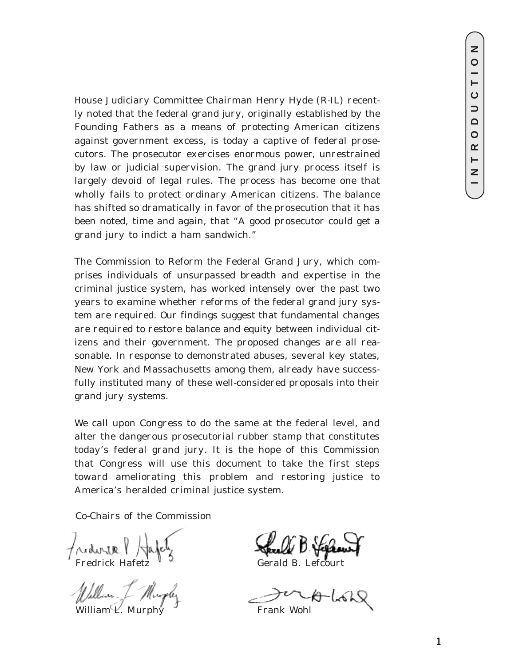House Judiciary Committee Chairman Henry Hyde (R-IL) recently noted that the federal grand jury, originally established by the Founding Fathers as a means of protecting American citizens against government excess, is today a captive of federal prosecutors. The prosecutor exercises enormous power, unrestrained by law or judicial supervision. The grand jury process itself is largely devoid of legal rules. The process has become one that wholly fails to protect ordinary American citizens. The balance has shifted so dramatically in favor of the prosecution that it has been noted, time and again, that "A good prosecutor could get a grand jury to indict a ham sandwich."

The Commission to Reform the Federal Grand Jury, which comprises individuals of unsurpassed breadth and expertise in the criminal justice system, has worked intensely over the past two years to examine whether reforms of the federal grand jury system are required. Our findings suggest that fundamental changes are required to restore balance and equity between individual citizens and their government. The proposed changes are all reasonable. In response to demonstrated abuses, several key states, New York and Massachusetts among them, already have successfully instituted many of these well-considered proposals into their grand jury systems.

We call upon Congress to do the same at the federal level, and alter the dangerous prosecutorial rubber stamp that constitutes today's federal grand jury. It is the hope of this Commission that Congress will use this document to take the first steps toward ameliorating this problem and restoring justice to America's heralded criminal justice system.

Co-Chairs of the Commission

Fredrick Hafetz<sup>V</sup>

William *L.* Murphy Frank Wohl

ALON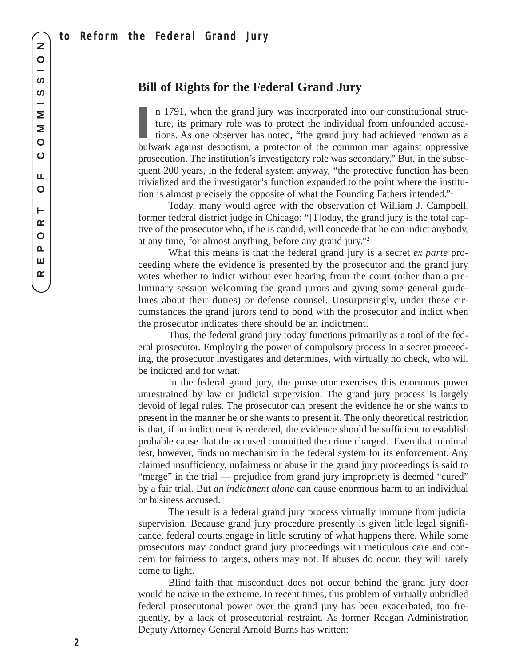# **Bill of Rights for the Federal Grand Jury**

**I** n 1791, when the grand jury was incorporated into our constitutional structure, its primary role was to protect the individual from unfounded accusations. As one observer has noted, "the grand jury had achieved renown as a bulwark against despotism, a protector of the common man against oppressive prosecution. The institution's investigatory role was secondary." But, in the subsequent 200 years, in the federal system anyway, "the protective function has been trivialized and the investigator's function expanded to the point where the institution is almost precisely the opposite of what the Founding Fathers intended."1

Today, many would agree with the observation of William J. Campbell, former federal district judge in Chicago: "[T]oday, the grand jury is the total captive of the prosecutor who, if he is candid, will concede that he can indict anybody, at any time, for almost anything, before any grand jury."2

What this means is that the federal grand jury is a secret *ex parte* proceeding where the evidence is presented by the prosecutor and the grand jury votes whether to indict without ever hearing from the court (other than a preliminary session welcoming the grand jurors and giving some general guidelines about their duties) or defense counsel. Unsurprisingly, under these circumstances the grand jurors tend to bond with the prosecutor and indict when the prosecutor indicates there should be an indictment.

Thus, the federal grand jury today functions primarily as a tool of the federal prosecutor. Employing the power of compulsory process in a secret proceeding, the prosecutor investigates and determines, with virtually no check, who will be indicted and for what.

In the federal grand jury, the prosecutor exercises this enormous power unrestrained by law or judicial supervision. The grand jury process is largely devoid of legal rules. The prosecutor can present the evidence he or she wants to present in the manner he or she wants to present it. The only theoretical restriction is that, if an indictment is rendered, the evidence should be sufficient to establish probable cause that the accused committed the crime charged. Even that minimal test, however, finds no mechanism in the federal system for its enforcement. Any claimed insufficiency, unfairness or abuse in the grand jury proceedings is said to "merge" in the trial — prejudice from grand jury impropriety is deemed "cured" by a fair trial. But *an indictment alone* can cause enormous harm to an individual or business accused.

The result is a federal grand jury process virtually immune from judicial supervision. Because grand jury procedure presently is given little legal significance, federal courts engage in little scrutiny of what happens there. While some prosecutors may conduct grand jury proceedings with meticulous care and concern for fairness to targets, others may not. If abuses do occur, they will rarely come to light.

Blind faith that misconduct does not occur behind the grand jury door would be naive in the extreme. In recent times, this problem of virtually unbridled federal prosecutorial power over the grand jury has been exacerbated, too frequently, by a lack of prosecutorial restraint. As former Reagan Administration Deputy Attorney General Arnold Burns has written: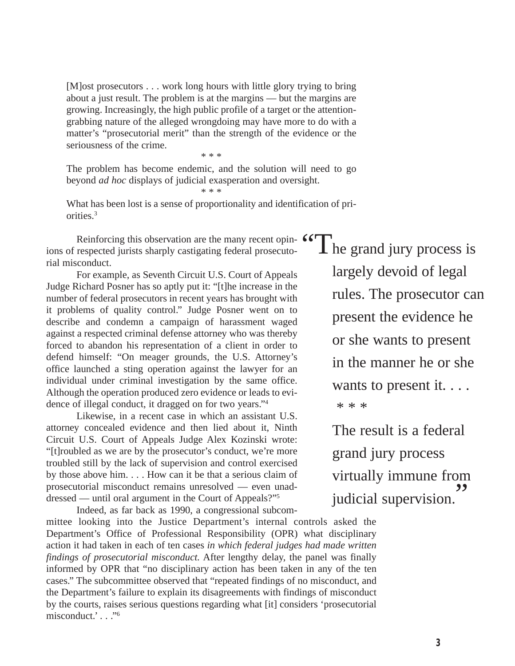[M]ost prosecutors . . . work long hours with little glory trying to bring about a just result. The problem is at the margins — but the margins are growing. Increasingly, the high public profile of a target or the attentiongrabbing nature of the alleged wrongdoing may have more to do with a matter's "prosecutorial merit" than the strength of the evidence or the seriousness of the crime.

The problem has become endemic, and the solution will need to go beyond *ad hoc* displays of judicial exasperation and oversight.

\* \* \*

\* \* \*

What has been lost is a sense of proportionality and identification of priorities.3

Reinforcing this observation are the many recent opin-Reinforcing this observation are the many recent opin-  $\frac{1}{2}$  of The grand jury process is rial misconduct.

For example, as Seventh Circuit U.S. Court of Appeals Judge Richard Posner has so aptly put it: "[t]he increase in the number of federal prosecutors in recent years has brought with it problems of quality control." Judge Posner went on to describe and condemn a campaign of harassment waged against a respected criminal defense attorney who was thereby forced to abandon his representation of a client in order to defend himself: "On meager grounds, the U.S. Attorney's office launched a sting operation against the lawyer for an individual under criminal investigation by the same office. Although the operation produced zero evidence or leads to evidence of illegal conduct, it dragged on for two years."4

Likewise, in a recent case in which an assistant U.S. attorney concealed evidence and then lied about it, Ninth Circuit U.S. Court of Appeals Judge Alex Kozinski wrote: "[t]roubled as we are by the prosecutor's conduct, we're more troubled still by the lack of supervision and control exercised by those above him. . . . How can it be that a serious claim of prosecutorial misconduct remains unresolved — even unaddressed — until oral argument in the Court of Appeals?"5

Indeed, as far back as 1990, a congressional subcommittee looking into the Justice Department's internal controls asked the Department's Office of Professional Responsibility (OPR) what disciplinary action it had taken in each of ten cases *in which federal judges had made written findings of prosecutorial misconduct.* After lengthy delay, the panel was finally informed by OPR that "no disciplinary action has been taken in any of the ten cases." The subcommittee observed that "repeated findings of no misconduct, and the Department's failure to explain its disagreements with findings of misconduct by the courts, raises serious questions regarding what [it] considers 'prosecutorial misconduct.' . . ."6

largely devoid of legal rules. The prosecutor can present the evidence he or she wants to present in the manner he or she wants to present it. . . . \* \* \*

The result is a federal grand jury process virtually immune from judicial supervision. **"**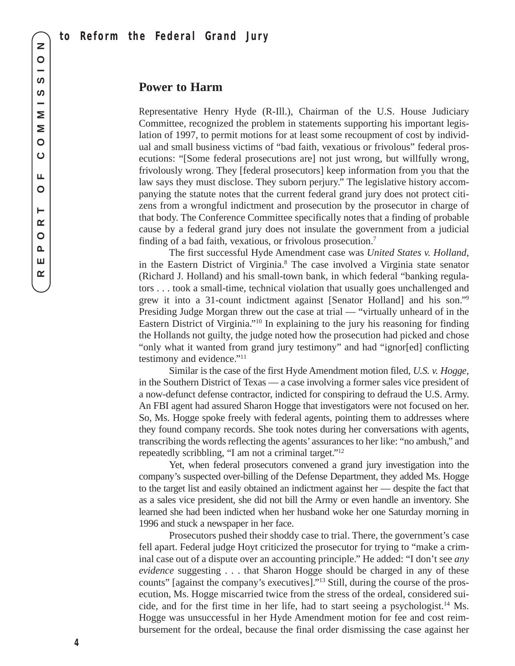### **Power to Harm**

Representative Henry Hyde (R-Ill.), Chairman of the U.S. House Judiciary Committee, recognized the problem in statements supporting his important legislation of 1997, to permit motions for at least some recoupment of cost by individual and small business victims of "bad faith, vexatious or frivolous" federal prosecutions: "[Some federal prosecutions are] not just wrong, but willfully wrong, frivolously wrong. They [federal prosecutors] keep information from you that the law says they must disclose. They suborn perjury." The legislative history accompanying the statute notes that the current federal grand jury does not protect citizens from a wrongful indictment and prosecution by the prosecutor in charge of that body. The Conference Committee specifically notes that a finding of probable cause by a federal grand jury does not insulate the government from a judicial finding of a bad faith, vexatious, or frivolous prosecution.7

The first successful Hyde Amendment case was *United States v. Holland*, in the Eastern District of Virginia.8 The case involved a Virginia state senator (Richard J. Holland) and his small-town bank, in which federal "banking regulators . . . took a small-time, technical violation that usually goes unchallenged and grew it into a 31-count indictment against [Senator Holland] and his son."9 Presiding Judge Morgan threw out the case at trial — "virtually unheard of in the Eastern District of Virginia."10 In explaining to the jury his reasoning for finding the Hollands not guilty, the judge noted how the prosecution had picked and chose "only what it wanted from grand jury testimony" and had "ignor[ed] conflicting testimony and evidence."11

Similar is the case of the first Hyde Amendment motion filed, *U.S. v. Hogge*, in the Southern District of Texas — a case involving a former sales vice president of a now-defunct defense contractor, indicted for conspiring to defraud the U.S. Army. An FBI agent had assured Sharon Hogge that investigators were not focused on her. So, Ms. Hogge spoke freely with federal agents, pointing them to addresses where they found company records. She took notes during her conversations with agents, transcribing the words reflecting the agents'assurances to her like: "no ambush," and repeatedly scribbling, "I am not a criminal target."12

Yet, when federal prosecutors convened a grand jury investigation into the company's suspected over-billing of the Defense Department, they added Ms. Hogge to the target list and easily obtained an indictment against her — despite the fact that as a sales vice president, she did not bill the Army or even handle an inventory. She learned she had been indicted when her husband woke her one Saturday morning in 1996 and stuck a newspaper in her face.

Prosecutors pushed their shoddy case to trial. There, the government's case fell apart. Federal judge Hoyt criticized the prosecutor for trying to "make a criminal case out of a dispute over an accounting principle." He added: "I don't see *any evidence* suggesting . . . that Sharon Hogge should be charged in any of these counts" [against the company's executives]."13 Still, during the course of the prosecution, Ms. Hogge miscarried twice from the stress of the ordeal, considered suicide, and for the first time in her life, had to start seeing a psychologist.14 Ms. Hogge was unsuccessful in her Hyde Amendment motion for fee and cost reimbursement for the ordeal, because the final order dismissing the case against her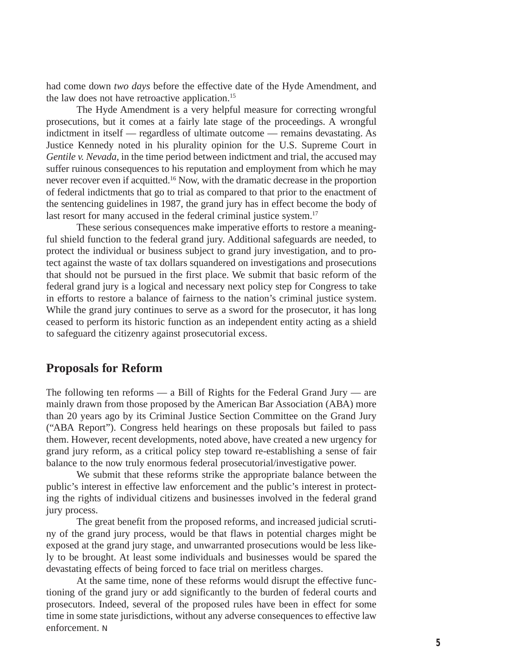had come down *two days* before the effective date of the Hyde Amendment, and the law does not have retroactive application.15

The Hyde Amendment is a very helpful measure for correcting wrongful prosecutions, but it comes at a fairly late stage of the proceedings. A wrongful indictment in itself — regardless of ultimate outcome — remains devastating. As Justice Kennedy noted in his plurality opinion for the U.S. Supreme Court in *Gentile v. Nevada*, in the time period between indictment and trial, the accused may suffer ruinous consequences to his reputation and employment from which he may never recover even if acquitted.16 Now, with the dramatic decrease in the proportion of federal indictments that go to trial as compared to that prior to the enactment of the sentencing guidelines in 1987, the grand jury has in effect become the body of last resort for many accused in the federal criminal justice system.<sup>17</sup>

These serious consequences make imperative efforts to restore a meaningful shield function to the federal grand jury. Additional safeguards are needed, to protect the individual or business subject to grand jury investigation, and to protect against the waste of tax dollars squandered on investigations and prosecutions that should not be pursued in the first place. We submit that basic reform of the federal grand jury is a logical and necessary next policy step for Congress to take in efforts to restore a balance of fairness to the nation's criminal justice system. While the grand jury continues to serve as a sword for the prosecutor, it has long ceased to perform its historic function as an independent entity acting as a shield to safeguard the citizenry against prosecutorial excess.

### **Proposals for Reform**

The following ten reforms — a Bill of Rights for the Federal Grand Jury — are mainly drawn from those proposed by the American Bar Association (ABA) more than 20 years ago by its Criminal Justice Section Committee on the Grand Jury ("ABA Report"). Congress held hearings on these proposals but failed to pass them. However, recent developments, noted above, have created a new urgency for grand jury reform, as a critical policy step toward re-establishing a sense of fair balance to the now truly enormous federal prosecutorial/investigative power.

We submit that these reforms strike the appropriate balance between the public's interest in effective law enforcement and the public's interest in protecting the rights of individual citizens and businesses involved in the federal grand jury process.

The great benefit from the proposed reforms, and increased judicial scrutiny of the grand jury process, would be that flaws in potential charges might be exposed at the grand jury stage, and unwarranted prosecutions would be less likely to be brought. At least some individuals and businesses would be spared the devastating effects of being forced to face trial on meritless charges.

At the same time, none of these reforms would disrupt the effective functioning of the grand jury or add significantly to the burden of federal courts and prosecutors. Indeed, several of the proposed rules have been in effect for some time in some state jurisdictions, without any adverse consequences to effective law enforcement. N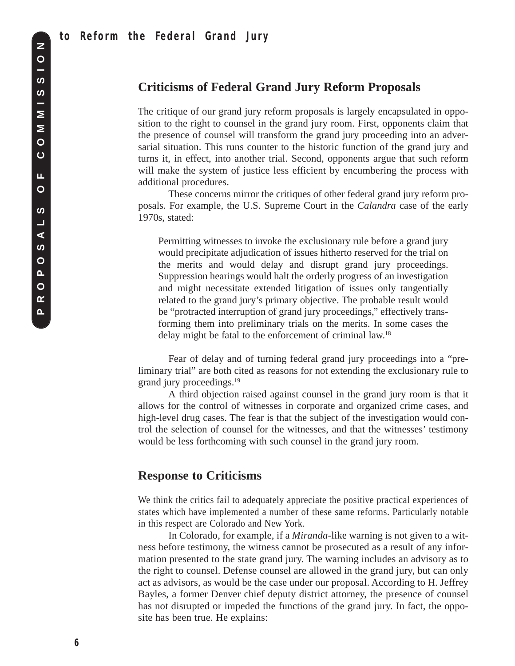## **Criticisms of Federal Grand Jury Reform Proposals**

The critique of our grand jury reform proposals is largely encapsulated in opposition to the right to counsel in the grand jury room. First, opponents claim that the presence of counsel will transform the grand jury proceeding into an adversarial situation. This runs counter to the historic function of the grand jury and turns it, in effect, into another trial. Second, opponents argue that such reform will make the system of justice less efficient by encumbering the process with additional procedures.

These concerns mirror the critiques of other federal grand jury reform proposals. For example, the U.S. Supreme Court in the *Calandra* case of the early 1970s, stated:

Permitting witnesses to invoke the exclusionary rule before a grand jury would precipitate adjudication of issues hitherto reserved for the trial on the merits and would delay and disrupt grand jury proceedings. Suppression hearings would halt the orderly progress of an investigation and might necessitate extended litigation of issues only tangentially related to the grand jury's primary objective. The probable result would be "protracted interruption of grand jury proceedings," effectively transforming them into preliminary trials on the merits. In some cases the delay might be fatal to the enforcement of criminal law.<sup>18</sup>

Fear of delay and of turning federal grand jury proceedings into a "preliminary trial" are both cited as reasons for not extending the exclusionary rule to grand jury proceedings.19

A third objection raised against counsel in the grand jury room is that it allows for the control of witnesses in corporate and organized crime cases, and high-level drug cases. The fear is that the subject of the investigation would control the selection of counsel for the witnesses, and that the witnesses' testimony would be less forthcoming with such counsel in the grand jury room.

# **Response to Criticisms**

We think the critics fail to adequately appreciate the positive practical experiences of states which have implemented a number of these same reforms. Particularly notable in this respect are Colorado and New York.

In Colorado, for example, if a *Miranda*-like warning is not given to a witness before testimony, the witness cannot be prosecuted as a result of any information presented to the state grand jury. The warning includes an advisory as to the right to counsel. Defense counsel are allowed in the grand jury, but can only act as advisors, as would be the case under our proposal. According to H. Jeffrey Bayles, a former Denver chief deputy district attorney, the presence of counsel has not disrupted or impeded the functions of the grand jury. In fact, the opposite has been true. He explains: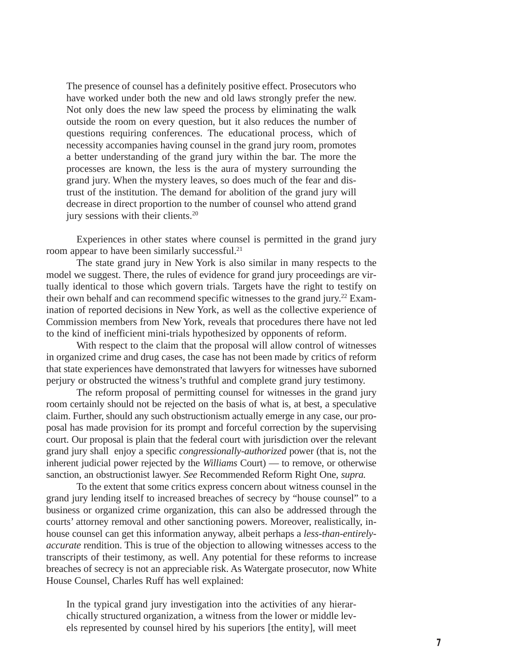The presence of counsel has a definitely positive effect. Prosecutors who have worked under both the new and old laws strongly prefer the new. Not only does the new law speed the process by eliminating the walk outside the room on every question, but it also reduces the number of questions requiring conferences. The educational process, which of necessity accompanies having counsel in the grand jury room, promotes a better understanding of the grand jury within the bar. The more the processes are known, the less is the aura of mystery surrounding the grand jury. When the mystery leaves, so does much of the fear and distrust of the institution. The demand for abolition of the grand jury will decrease in direct proportion to the number of counsel who attend grand jury sessions with their clients.<sup>20</sup>

Experiences in other states where counsel is permitted in the grand jury room appear to have been similarly successful.<sup>21</sup>

The state grand jury in New York is also similar in many respects to the model we suggest. There, the rules of evidence for grand jury proceedings are virtually identical to those which govern trials. Targets have the right to testify on their own behalf and can recommend specific witnesses to the grand jury.22 Examination of reported decisions in New York, as well as the collective experience of Commission members from New York, reveals that procedures there have not led to the kind of inefficient mini-trials hypothesized by opponents of reform.

With respect to the claim that the proposal will allow control of witnesses in organized crime and drug cases, the case has not been made by critics of reform that state experiences have demonstrated that lawyers for witnesses have suborned perjury or obstructed the witness's truthful and complete grand jury testimony.

The reform proposal of permitting counsel for witnesses in the grand jury room certainly should not be rejected on the basis of what is, at best, a speculative claim. Further, should any such obstructionism actually emerge in any case, our proposal has made provision for its prompt and forceful correction by the supervising court. Our proposal is plain that the federal court with jurisdiction over the relevant grand jury shall enjoy a specific *congressionally-authorized* power (that is, not the inherent judicial power rejected by the *Williams* Court) — to remove, or otherwise sanction, an obstructionist lawyer. *See* Recommended Reform Right One, *supra.* 

To the extent that some critics express concern about witness counsel in the grand jury lending itself to increased breaches of secrecy by "house counsel" to a business or organized crime organization, this can also be addressed through the courts' attorney removal and other sanctioning powers. Moreover, realistically, inhouse counsel can get this information anyway, albeit perhaps a *less-than-entirelyaccurate* rendition. This is true of the objection to allowing witnesses access to the transcripts of their testimony, as well. Any potential for these reforms to increase breaches of secrecy is not an appreciable risk. As Watergate prosecutor, now White House Counsel, Charles Ruff has well explained:

In the typical grand jury investigation into the activities of any hierarchically structured organization, a witness from the lower or middle levels represented by counsel hired by his superiors [the entity], will meet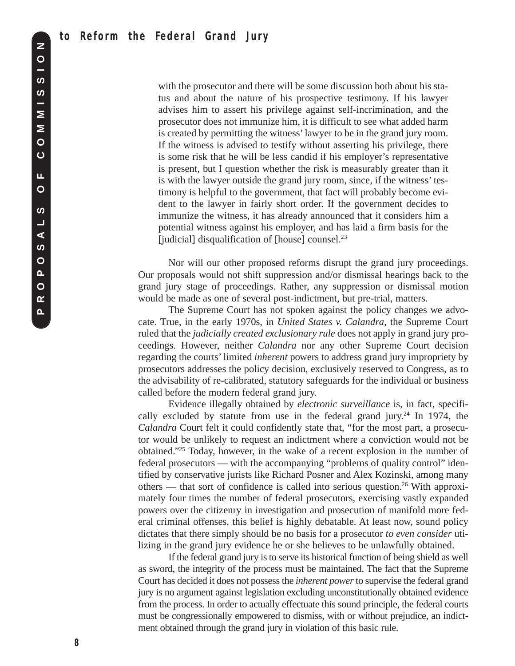with the prosecutor and there will be some discussion both about his status and about the nature of his prospective testimony. If his lawyer advises him to assert his privilege against self-incrimination, and the prosecutor does not immunize him, it is difficult to see what added harm is created by permitting the witness' lawyer to be in the grand jury room. If the witness is advised to testify without asserting his privilege, there is some risk that he will be less candid if his employer's representative is present, but I question whether the risk is measurably greater than it is with the lawyer outside the grand jury room, since, if the witness' testimony is helpful to the government, that fact will probably become evident to the lawyer in fairly short order. If the government decides to immunize the witness, it has already announced that it considers him a potential witness against his employer, and has laid a firm basis for the [judicial] disqualification of [house] counsel.<sup>23</sup>

Nor will our other proposed reforms disrupt the grand jury proceedings. Our proposals would not shift suppression and/or dismissal hearings back to the grand jury stage of proceedings. Rather, any suppression or dismissal motion would be made as one of several post-indictment, but pre-trial, matters.

The Supreme Court has not spoken against the policy changes we advocate. True, in the early 1970s, in *United States v. Calandra*, the Supreme Court ruled that the *judicially created exclusionary rule* does not apply in grand jury proceedings. However, neither *Calandra* nor any other Supreme Court decision regarding the courts' limited *inherent* powers to address grand jury impropriety by prosecutors addresses the policy decision, exclusively reserved to Congress, as to the advisability of re-calibrated, statutory safeguards for the individual or business called before the modern federal grand jury.

Evidence illegally obtained by *electronic surveillance* is, in fact, specifically excluded by statute from use in the federal grand jury.<sup>24</sup> In 1974, the *Calandra* Court felt it could confidently state that, "for the most part, a prosecutor would be unlikely to request an indictment where a conviction would not be obtained."25 Today, however, in the wake of a recent explosion in the number of federal prosecutors — with the accompanying "problems of quality control" identified by conservative jurists like Richard Posner and Alex Kozinski, among many others — that sort of confidence is called into serious question.<sup>26</sup> With approximately four times the number of federal prosecutors, exercising vastly expanded powers over the citizenry in investigation and prosecution of manifold more federal criminal offenses, this belief is highly debatable. At least now, sound policy dictates that there simply should be no basis for a prosecutor *to even consider* utilizing in the grand jury evidence he or she believes to be unlawfully obtained.

If the federal grand jury is to serve its historical function of being shield as well as sword, the integrity of the process must be maintained. The fact that the Supreme Court has decided it does not possess the *inherent power*to supervise the federal grand jury is no argument against legislation excluding unconstitutionally obtained evidence from the process. In order to actually effectuate this sound principle, the federal courts must be congressionally empowered to dismiss, with or without prejudice, an indictment obtained through the grand jury in violation of this basic rule.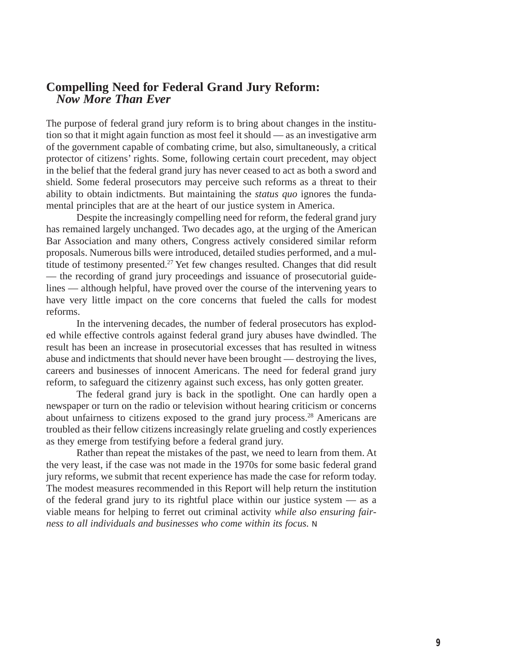## **Compelling Need for Federal Grand Jury Reform:** *Now More Than Ever*

The purpose of federal grand jury reform is to bring about changes in the institution so that it might again function as most feel it should — as an investigative arm of the government capable of combating crime, but also, simultaneously, a critical protector of citizens' rights. Some, following certain court precedent, may object in the belief that the federal grand jury has never ceased to act as both a sword and shield. Some federal prosecutors may perceive such reforms as a threat to their ability to obtain indictments. But maintaining the *status quo* ignores the fundamental principles that are at the heart of our justice system in America.

Despite the increasingly compelling need for reform, the federal grand jury has remained largely unchanged. Two decades ago, at the urging of the American Bar Association and many others, Congress actively considered similar reform proposals. Numerous bills were introduced, detailed studies performed, and a multitude of testimony presented.<sup>27</sup> Yet few changes resulted. Changes that did result — the recording of grand jury proceedings and issuance of prosecutorial guidelines — although helpful, have proved over the course of the intervening years to have very little impact on the core concerns that fueled the calls for modest reforms.

In the intervening decades, the number of federal prosecutors has exploded while effective controls against federal grand jury abuses have dwindled. The result has been an increase in prosecutorial excesses that has resulted in witness abuse and indictments that should never have been brought — destroying the lives, careers and businesses of innocent Americans. The need for federal grand jury reform, to safeguard the citizenry against such excess, has only gotten greater.

The federal grand jury is back in the spotlight. One can hardly open a newspaper or turn on the radio or television without hearing criticism or concerns about unfairness to citizens exposed to the grand jury process.28 Americans are troubled as their fellow citizens increasingly relate grueling and costly experiences as they emerge from testifying before a federal grand jury.

Rather than repeat the mistakes of the past, we need to learn from them. At the very least, if the case was not made in the 1970s for some basic federal grand jury reforms, we submit that recent experience has made the case for reform today. The modest measures recommended in this Report will help return the institution of the federal grand jury to its rightful place within our justice system — as a viable means for helping to ferret out criminal activity *while also ensuring fairness to all individuals and businesses who come within its focus.* N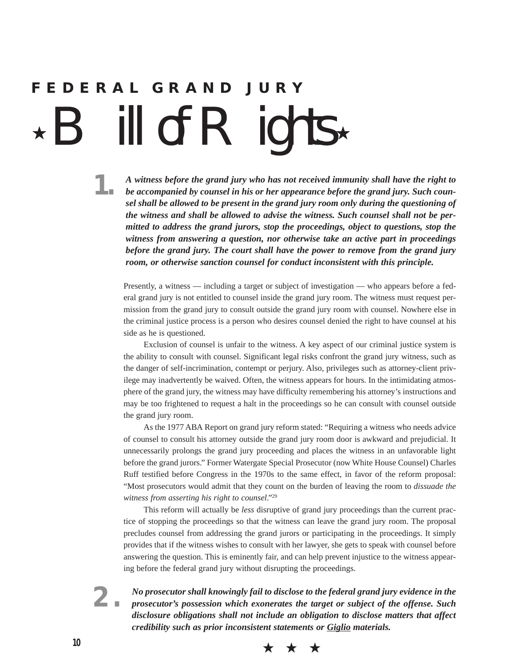# **FEDERAL GRAND JURY** ill of  $R$  ights  $\star$

**1.** *<sup>A</sup> witness before the grand jury who has not received immunity shall have the right to be accompanied by counsel in his or her appearance before the grand jury. Such counsel shall be allowed to be present in the grand jury room only during the questioning of the witness and shall be allowed to advise the witness. Such counsel shall not be permitted to address the grand jurors, stop the proceedings, object to questions, stop the witness from answering a question, nor otherwise take an active part in proceedings before the grand jury. The court shall have the power to remove from the grand jury room, or otherwise sanction counsel for conduct inconsistent with this principle.*

Presently, a witness — including a target or subject of investigation — who appears before a federal grand jury is not entitled to counsel inside the grand jury room. The witness must request permission from the grand jury to consult outside the grand jury room with counsel. Nowhere else in the criminal justice process is a person who desires counsel denied the right to have counsel at his side as he is questioned.

Exclusion of counsel is unfair to the witness. A key aspect of our criminal justice system is the ability to consult with counsel. Significant legal risks confront the grand jury witness, such as the danger of self-incrimination, contempt or perjury. Also, privileges such as attorney-client privilege may inadvertently be waived. Often, the witness appears for hours. In the intimidating atmosphere of the grand jury, the witness may have difficulty remembering his attorney's instructions and may be too frightened to request a halt in the proceedings so he can consult with counsel outside the grand jury room.

As the 1977 ABA Report on grand jury reform stated: "Requiring a witness who needs advice of counsel to consult his attorney outside the grand jury room door is awkward and prejudicial. It unnecessarily prolongs the grand jury proceeding and places the witness in an unfavorable light before the grand jurors." Former Watergate Special Prosecutor (now White House Counsel) Charles Ruff testified before Congress in the 1970s to the same effect, in favor of the reform proposal: "Most prosecutors would admit that they count on the burden of leaving the room to *dissuade the witness from asserting his right to counsel*."29

This reform will actually be *less* disruptive of grand jury proceedings than the current practice of stopping the proceedings so that the witness can leave the grand jury room. The proposal precludes counsel from addressing the grand jurors or participating in the proceedings. It simply provides that if the witness wishes to consult with her lawyer, she gets to speak with counsel before answering the question. This is eminently fair, and can help prevent injustice to the witness appearing before the federal grand jury without disrupting the proceedings.

**2.** *No prosecutor shall knowingly fail to disclose to the federal grand jury evidence in the prosecutor's possession which exonerates the target or subject of the offense. Such disclosure obligations shall not include an obligation to disclose matters that affect credibility such as prior inconsistent statements or Giglio materials.*

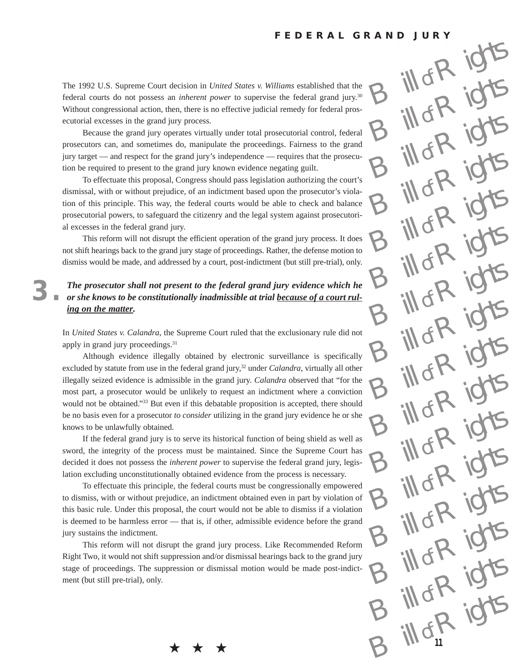$\mathbb{H}$ of R

ill of R

 $\delta R$ 

ill of R

ill of R

ill of R

ill of R

ill of R

ill of R

 $\log R$ 

 $\log R$ 

 $\log R$ 

 $\log R$ 

ill of R

ill of R

**11**

 $B \frac{1}{10^{6}R}$  ights

The 1992 U.S. Supreme Court decision in *United States v. Williams* established that the federal courts do not possess an *inherent power* to supervise the federal grand jury.30 Without congressional action, then, there is no effective judicial remedy for federal prosecutorial excesses in the grand jury process.

Because the grand jury operates virtually under total prosecutorial control, federal prosecutors can, and sometimes do, manipulate the proceedings. Fairness to the grand jury target — and respect for the grand jury's independence — requires that the prosecution be required to present to the grand jury known evidence negating guilt.

To effectuate this proposal, Congress should pass legislation authorizing the court's dismissal, with or without prejudice, of an indictment based upon the prosecutor's violation of this principle. This way, the federal courts would be able to check and balance prosecutorial powers, to safeguard the citizenry and the legal system against prosecutorial excesses in the federal grand jury.

This reform will not disrupt the efficient operation of the grand jury process. It does not shift hearings back to the grand jury stage of proceedings. Rather, the defense motion to dismiss would be made, and addressed by a court, post-indictment (but still pre-trial), only.

### **3.** *The prosecutor shall not present to the federal grand jury evidence which he or she knows to be constitutionally inadmissible at trial because of a court ruling on the matter.*

In *United States v. Calandra*, the Supreme Court ruled that the exclusionary rule did not apply in grand jury proceedings.<sup>31</sup>

Although evidence illegally obtained by electronic surveillance is specifically excluded by statute from use in the federal grand jury,<sup>32</sup> under *Calandra*, virtually all other illegally seized evidence is admissible in the grand jury. *Calandra* observed that "for the most part, a prosecutor would be unlikely to request an indictment where a conviction would not be obtained."33 But even if this debatable proposition is accepted, there should be no basis even for a prosecutor *to consider* utilizing in the grand jury evidence he or she knows to be unlawfully obtained.

If the federal grand jury is to serve its historical function of being shield as well as sword, the integrity of the process must be maintained. Since the Supreme Court has decided it does not possess the *inherent power* to supervise the federal grand jury, legislation excluding unconstitutionally obtained evidence from the process is necessary.

To effectuate this principle, the federal courts must be congressionally empowered to dismiss, with or without prejudice, an indictment obtained even in part by violation of this basic rule. Under this proposal, the court would not be able to dismiss if a violation is deemed to be harmless error — that is, if other, admissible evidence before the grand jury sustains the indictment.

This reform will not disrupt the grand jury process. Like Recommended Reform Right Two, it would not shift suppression and/or dismissal hearings back to the grand jury stage of proceedings. The suppression or dismissal motion would be made post-indictment (but still pre-trial), only.

★ ★ ★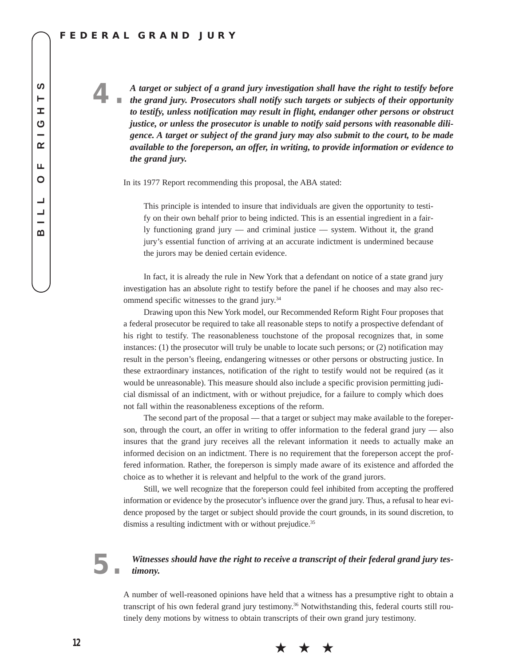### **FEDERAL GRAND JURY**

**4.** *<sup>A</sup> target or subject of a grand jury investigation shall have the right to testify before the grand jury. Prosecutors shall notify such targets or subjects of their opportunity to testify, unless notification may result in flight, endanger other persons or obstruct justice, or unless the prosecutor is unable to notify said persons with reasonable diligence. A target or subject of the grand jury may also submit to the court, to be made available to the foreperson, an offer, in writing, to provide information or evidence to the grand jury.*

In its 1977 Report recommending this proposal, the ABA stated:

This principle is intended to insure that individuals are given the opportunity to testify on their own behalf prior to being indicted. This is an essential ingredient in a fairly functioning grand jury — and criminal justice — system. Without it, the grand jury's essential function of arriving at an accurate indictment is undermined because the jurors may be denied certain evidence.

In fact, it is already the rule in New York that a defendant on notice of a state grand jury investigation has an absolute right to testify before the panel if he chooses and may also recommend specific witnesses to the grand jury.34

Drawing upon this New York model, our Recommended Reform Right Four proposes that a federal prosecutor be required to take all reasonable steps to notify a prospective defendant of his right to testify. The reasonableness touchstone of the proposal recognizes that, in some instances: (1) the prosecutor will truly be unable to locate such persons; or (2) notification may result in the person's fleeing, endangering witnesses or other persons or obstructing justice. In these extraordinary instances, notification of the right to testify would not be required (as it would be unreasonable). This measure should also include a specific provision permitting judicial dismissal of an indictment, with or without prejudice, for a failure to comply which does not fall within the reasonableness exceptions of the reform.

The second part of the proposal — that a target or subject may make available to the foreperson, through the court, an offer in writing to offer information to the federal grand jury — also insures that the grand jury receives all the relevant information it needs to actually make an informed decision on an indictment. There is no requirement that the foreperson accept the proffered information. Rather, the foreperson is simply made aware of its existence and afforded the choice as to whether it is relevant and helpful to the work of the grand jurors.

Still, we well recognize that the foreperson could feel inhibited from accepting the proffered information or evidence by the prosecutor's influence over the grand jury. Thus, a refusal to hear evidence proposed by the target or subject should provide the court grounds, in its sound discretion, to dismiss a resulting indictment with or without prejudice.<sup>35</sup>

### **5.** *Witnesses should have the right to receive a transcript of their federal grand jury testimony.*

A number of well-reasoned opinions have held that a witness has a presumptive right to obtain a transcript of his own federal grand jury testimony.<sup>36</sup> Notwithstanding this, federal courts still routinely deny motions by witness to obtain transcripts of their own grand jury testimony.

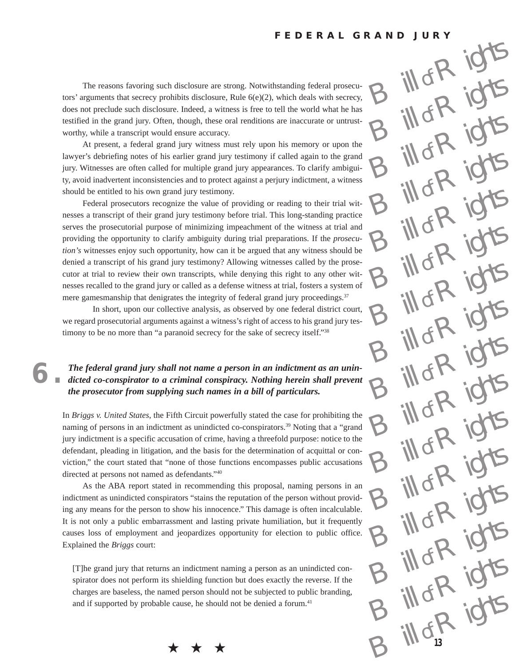$\mathbb{R}^k$ 

ill of R

 $\log R$ 

ill of R

ill of R

ill of R

ill of R

ill of R

ill of R

ill of R

 $\log R$ 

Iof R

ill of R

ill of R

Lot K 1811

The reasons favoring such disclosure are strong. Notwithstanding federal prosecutors' arguments that secrecy prohibits disclosure, Rule  $6(e)(2)$ , which deals with secrecy, does not preclude such disclosure. Indeed, a witness is free to tell the world what he has testified in the grand jury. Often, though, these oral renditions are inaccurate or untrustworthy, while a transcript would ensure accuracy.

At present, a federal grand jury witness must rely upon his memory or upon the lawyer's debriefing notes of his earlier grand jury testimony if called again to the grand jury. Witnesses are often called for multiple grand jury appearances. To clarify ambiguity, avoid inadvertent inconsistencies and to protect against a perjury indictment, a witness should be entitled to his own grand jury testimony.

Federal prosecutors recognize the value of providing or reading to their trial witnesses a transcript of their grand jury testimony before trial. This long-standing practice serves the prosecutorial purpose of minimizing impeachment of the witness at trial and providing the opportunity to clarify ambiguity during trial preparations. If the *prosecution's* witnesses enjoy such opportunity, how can it be argued that any witness should be denied a transcript of his grand jury testimony? Allowing witnesses called by the prosecutor at trial to review their own transcripts, while denying this right to any other witnesses recalled to the grand jury or called as a defense witness at trial, fosters a system of mere gamesmanship that denigrates the integrity of federal grand jury proceedings.<sup>37</sup>

In short, upon our collective analysis, as observed by one federal district court, we regard prosecutorial arguments against a witness's right of access to his grand jury testimony to be no more than "a paranoid secrecy for the sake of secrecy itself."38

# **6.** *The federal grand jury shall not name a person in an indictment as an unin-dicted co-conspirator to a criminal conspiracy. Nothing herein shall prevent the prosecutor from supplying such names in a bill of particulars.*

In *Briggs v. United States*, the Fifth Circuit powerfully stated the case for prohibiting the naming of persons in an indictment as unindicted co-conspirators.<sup>39</sup> Noting that a "grand jury indictment is a specific accusation of crime, having a threefold purpose: notice to the defendant, pleading in litigation, and the basis for the determination of acquittal or conviction," the court stated that "none of those functions encompasses public accusations directed at persons not named as defendants."40

As the ABA report stated in recommending this proposal, naming persons in an indictment as unindicted conspirators "stains the reputation of the person without providing any means for the person to show his innocence." This damage is often incalculable. It is not only a public embarrassment and lasting private humiliation, but it frequently causes loss of employment and jeopardizes opportunity for election to public office. Explained the *Briggs* court:

[T]he grand jury that returns an indictment naming a person as an unindicted conspirator does not perform its shielding function but does exactly the reverse. If the charges are baseless, the named person should not be subjected to public branding, and if supported by probable cause, he should not be denied a forum.<sup>41</sup> **14** of Rights and the denied a forum.<sup>41</sup><br> **13 14** of Rights

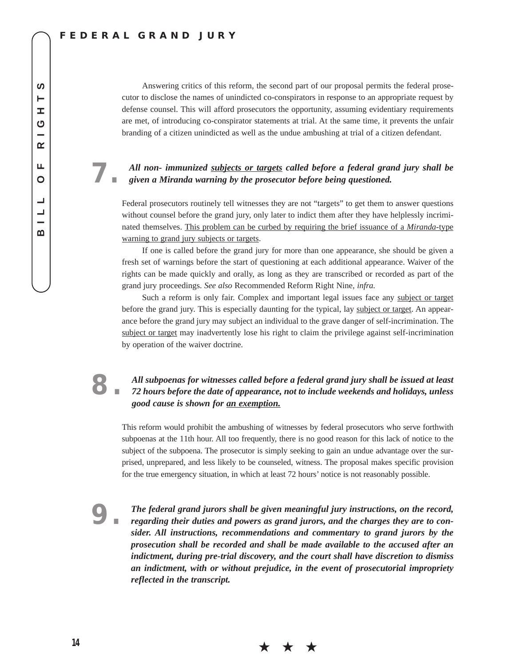### **FEDERAL GRAND JURY**

Answering critics of this reform, the second part of our proposal permits the federal prosecutor to disclose the names of unindicted co-conspirators in response to an appropriate request by defense counsel. This will afford prosecutors the opportunity, assuming evidentiary requirements are met, of introducing co-conspirator statements at trial. At the same time, it prevents the unfair branding of a citizen unindicted as well as the undue ambushing at trial of a citizen defendant.

### **7.** *All non- immunized subjects or targets called before a federal grand jury shall be given a Miranda warning by the prosecutor before being questioned.*

Federal prosecutors routinely tell witnesses they are not "targets" to get them to answer questions without counsel before the grand jury, only later to indict them after they have helplessly incriminated themselves. This problem can be curbed by requiring the brief issuance of a *Miranda*-type warning to grand jury subjects or targets.

If one is called before the grand jury for more than one appearance, she should be given a fresh set of warnings before the start of questioning at each additional appearance. Waiver of the rights can be made quickly and orally, as long as they are transcribed or recorded as part of the grand jury proceedings. *See also* Recommended Reform Right Nine, *infra.*

Such a reform is only fair. Complex and important legal issues face any subject or target before the grand jury. This is especially daunting for the typical, lay subject or target. An appearance before the grand jury may subject an individual to the grave danger of self-incrimination. The subject or target may inadvertently lose his right to claim the privilege against self-incrimination by operation of the waiver doctrine.

### **8.** *All subpoenas for witnesses called before a federal grand jury shall be issued at least 72 hours before the date of appearance, not to include weekends and holidays, unless good cause is shown for an exemption.*

This reform would prohibit the ambushing of witnesses by federal prosecutors who serve forthwith subpoenas at the 11th hour. All too frequently, there is no good reason for this lack of notice to the subject of the subpoena. The prosecutor is simply seeking to gain an undue advantage over the surprised, unprepared, and less likely to be counseled, witness. The proposal makes specific provision for the true emergency situation, in which at least 72 hours' notice is not reasonably possible.

**9.** *The federal grand jurors shall be given meaningful jury instructions, on the record, regarding their duties and powers as grand jurors, and the charges they are to consider. All instructions, recommendations and commentary to grand jurors by the prosecution shall be recorded and shall be made available to the accused after an indictment, during pre-trial discovery, and the court shall have discretion to dismiss an indictment, with or without prejudice, in the event of prosecutorial impropriety reflected in the transcript.*

★ ★ ★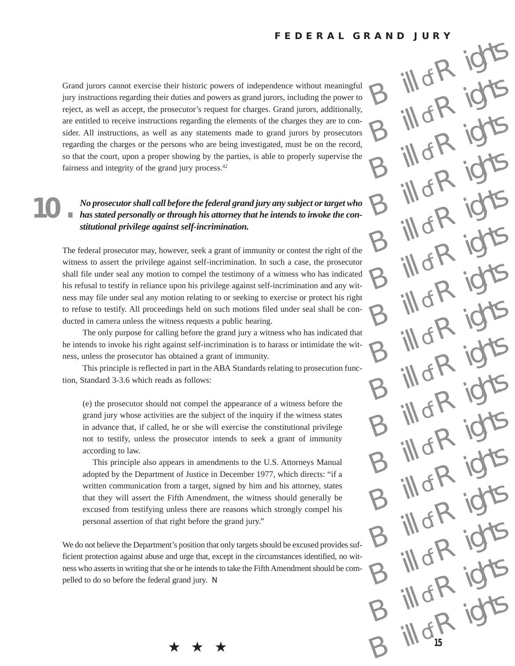ill of R

 $\log R$ 

 $\int_{af}$ R<sub>ight</sub>

d di

ill of R

ill of R

ill of R

 $\log R$ 

 $\int_{\alpha R}$ 

 $B$   $\frac{1}{2}$   $\frac{1}{2}$   $\frac{1}{2}$   $\frac{1}{2}$   $\frac{1}{2}$   $\frac{1}{2}$ 

 $B$   $\frac{1}{2}$   $\frac{1}{2}$   $\frac{1}{2}$   $\frac{1}{2}$   $\frac{1}{2}$   $\frac{1}{2}$ 

of R

 $10fR$ 

Iof R

 $\log R$ 

Grand jurors cannot exercise their historic powers of independence without meaningful jury instructions regarding their duties and powers as grand jurors, including the power to reject, as well as accept, the prosecutor's request for charges. Grand jurors, additionally, are entitled to receive instructions regarding the elements of the charges they are to consider. All instructions, as well as any statements made to grand jurors by prosecutors regarding the charges or the persons who are being investigated, must be on the record, so that the court, upon a proper showing by the parties, is able to properly supervise the fairness and integrity of the grand jury process.<sup>42</sup>

### **10.** *No prosecutor shall call before the federal grand jury any subject or target who has stated personally or through his attorney that he intends to invoke the constitutional privilege against self-incrimination.*

The federal prosecutor may, however, seek a grant of immunity or contest the right of the witness to assert the privilege against self-incrimination. In such a case, the prosecutor shall file under seal any motion to compel the testimony of a witness who has indicated his refusal to testify in reliance upon his privilege against self-incrimination and any witness may file under seal any motion relating to or seeking to exercise or protect his right to refuse to testify. All proceedings held on such motions filed under seal shall be conducted in camera unless the witness requests a public hearing.

The only purpose for calling before the grand jury a witness who has indicated that he intends to invoke his right against self-incrimination is to harass or intimidate the witness, unless the prosecutor has obtained a grant of immunity.

This principle is reflected in part in the ABA Standards relating to prosecution function, Standard 3-3.6 which reads as follows:

(e) the prosecutor should not compel the appearance of a witness before the grand jury whose activities are the subject of the inquiry if the witness states in advance that, if called, he or she will exercise the constitutional privilege not to testify, unless the prosecutor intends to seek a grant of immunity according to law.

This principle also appears in amendments to the U.S. Attorneys Manual adopted by the Department of Justice in December 1977, which directs: "if a written communication from a target, signed by him and his attorney, states that they will assert the Fifth Amendment, the witness should generally be excused from testifying unless there are reasons which strongly compel his personal assertion of that right before the grand jury."

We do not believe the Department's position that only targets should be excused provides sufficient protection against abuse and urge that, except in the circumstances identified, no witness who asserts in writing that she or he intends to take the Fifth Amendment should be compelled to do so before the federal grand jury. N

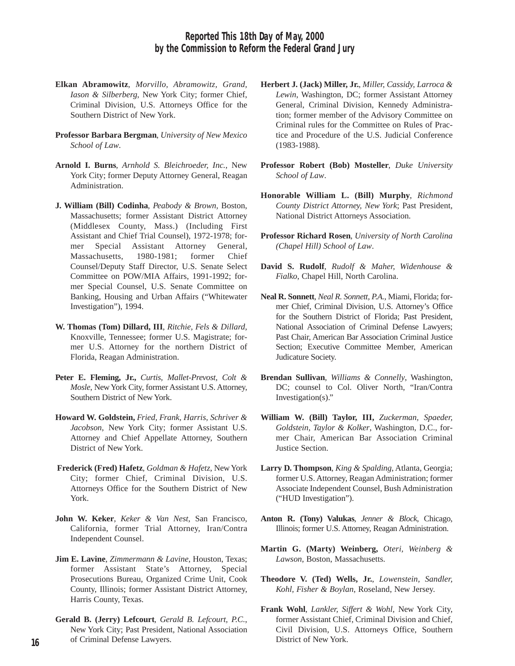- **Elkan Abramowitz**, *Morvillo, Abramowitz, Grand, Iason & Silberberg*, New York City; former Chief, Criminal Division, U.S. Attorneys Office for the Southern District of New York.
- **Professor Barbara Bergman**, *University of New Mexico School of Law*.
- **Arnold I. Burns**, *Arnhold S. Bleichroeder, Inc.*, New York City; former Deputy Attorney General, Reagan Administration.
- **J. William (Bill) Codinha**, *Peabody & Brown,* Boston, Massachusetts; former Assistant District Attorney (Middlesex County, Mass.) (Including First Assistant and Chief Trial Counsel), 1972-1978; former Special Assistant Attorney General, Massachusetts, 1980-1981; former Chief Counsel/Deputy Staff Director, U.S. Senate Select Committee on POW/MIA Affairs, 1991-1992; former Special Counsel, U.S. Senate Committee on Banking, Housing and Urban Affairs ("Whitewater Investigation"), 1994.
- **W. Thomas (Tom) Dillard, III**, *Ritchie, Fels & Dillard*, Knoxville, Tennessee; former U.S. Magistrate; former U.S. Attorney for the northern District of Florida, Reagan Administration.
- **Peter E. Fleming, Jr.,** *Curtis, Mallet-Prevost, Colt & Mosle*, New York City, former Assistant U.S. Attorney, Southern District of New York.
- **Howard W. Goldstein,** *Fried, Frank, Harris, Schriver & Jacobson*, New York City; former Assistant U.S. Attorney and Chief Appellate Attorney, Southern District of New York.
- **Frederick (Fred) Hafetz**, *Goldman & Hafetz*, NewYork City; former Chief, Criminal Division, U.S. Attorneys Office for the Southern District of New York.
- **John W. Keker**, *Keker & Van Nest*, San Francisco, California, former Trial Attorney, Iran/Contra Independent Counsel.
- **Jim E. Lavine**, *Zimmermann & Lavine*, Houston, Texas; former Assistant State's Attorney, Special Prosecutions Bureau, Organized Crime Unit, Cook County, Illinois; former Assistant District Attorney, Harris County, Texas.
- **Gerald B. (Jerry) Lefcourt**, *Gerald B. Lefcourt, P.C.*, New York City; Past President, National Association of Criminal Defense Lawyers.
- **Herbert J. (Jack) Miller, Jr.**, *Miller, Cassidy, Larroca & Lewin*, Washington, DC; former Assistant Attorney General, Criminal Division, Kennedy Administration; former member of the Advisory Committee on Criminal rules for the Committee on Rules of Practice and Procedure of the U.S. Judicial Conference (1983-1988).
- **Professor Robert (Bob) Mosteller**, *Duke University School of Law*.
- **Honorable William L. (Bill) Murphy**, *Richmond County District Attorney, New York*; Past President, National District Attorneys Association.
- **Professor Richard Rosen**, *University of North Carolina (Chapel Hill) School of Law*.
- **David S. Rudolf**, *Rudolf & Maher, Widenhouse & Fialko*, Chapel Hill, North Carolina.
- **Neal R. Sonnett**, *Neal R. Sonnett, P.A.*, Miami, Florida; former Chief, Criminal Division, U.S. Attorney's Office for the Southern District of Florida; Past President, National Association of Criminal Defense Lawyers; Past Chair, American Bar Association Criminal Justice Section; Executive Committee Member, American Judicature Society.
- **Brendan Sullivan**, *Williams & Connelly*, Washington, DC; counsel to Col. Oliver North, "Iran/Contra Investigation(s)."
- **William W. (Bill) Taylor, III,** *Zuckerman, Spaeder, Goldstein, Taylor & Kolker*, Washington, D.C., former Chair, American Bar Association Criminal Justice Section.
- **Larry D. Thompson**, *King & Spalding*, Atlanta, Georgia; former U.S. Attorney, Reagan Administration; former Associate Independent Counsel, Bush Administration ("HUD Investigation").
- **Anton R. (Tony) Valukas**, *Jenner & Block*, Chicago, Illinois; former U.S. Attorney, Reagan Administration.
- **Martin G. (Marty) Weinberg,** *Oteri, Weinberg & Lawson*, Boston, Massachusetts.
- **Theodore V. (Ted) Wells, Jr.**, *Lowenstein, Sandler, Kohl, Fisher & Boylan*, Roseland, New Jersey.
- **Frank Wohl**, *Lankler, Siffert & Wohl,* New York City, former Assistant Chief, Criminal Division and Chief, Civil Division, U.S. Attorneys Office, Southern District of New York.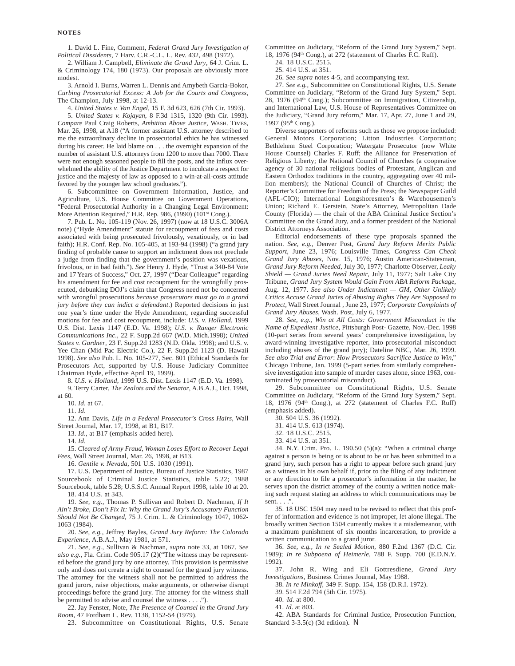1. David L. Fine, Comment, *Federal Grand Jury Investigation of Political Dissidents*, 7 Harv. C.R.-C.L. L. Rev. 432, 498 (1972).

2. William J. Campbell, *Eliminate the Grand Jury*, 64 J. Crim. L. & Criminology 174, 180 (1973). Our proposals are obviously more modest.

3. Arnold I. Burns, Warren L. Dennis and Amybeth Garcia-Bokor, *Curbing Prosecutorial Excess: A Job for the Courts and Congress*, The Champion, July 1998, at 12-13.

4. *United States v. Van Engel*, 15 F. 3d 623, 626 (7th Cir. 1993).

5. *United States v. Kojayan*, 8 F.3d 1315, 1320 (9th Cir. 1993). *Compare* Paul Craig Roberts, *Ambition Above Justice*, WASH. TIMES, Mar. 26, 1998, at A18 ("A former assistant U.S. attorney described to me the extraordinary decline in prosecutorial ethics he has witnessed during his career. He laid blame on . . . the overnight expansion of the number of assistant U.S. attorneys from 1200 to more than 7000. There were not enough seasoned people to fill the posts, and the influx overwhelmed the ability of the Justice Department to inculcate a respect for justice and the majesty of law as opposed to a win-at-all-costs attitude favored by the younger law school graduates.").

6. Subcommittee on Government Information, Justice, and Agriculture, U.S. House Committee on Government Operations, "Federal Prosecutorial Authority in a Changing Legal Environment: More Attention Required," H.R. Rep. 986, (1990) (101st Cong.).

7. Pub. L. No. 105-119 (Nov. 26, 1997) (now at 18 U.S.C. 3006A note) ("Hyde Amendment" statute for recoupment of fees and costs associated with being prosecuted frivolously, vexatiously, or in bad faith); H.R. Conf. Rep. No. 105-405, at 193-94 (1998) ("a grand jury finding of probable cause to support an indictment does not preclude a judge from finding that the government's position was vexatious, frivolous, or in bad faith."). *See* Henry J. Hyde, "Trust a 340-84 Vote and 17 Years of Success," Oct. 27, 1997 ("Dear Colleague" regarding his amendment for fee and cost recoupment for the wrongfully prosecuted, debunking DOJ's claim that Congress need not be concerned with wrongful prosecutions *because prosecutors must go to a grand jury before they can indict a defendant*.) Reported decisions in just one year's time under the Hyde Amendment, regarding successful motions for fee and cost recoupment, include: *U.S. v. Holland*, 1999 U.S. Dist. Lexis 1147 (E.D. Va. 1998); *U.S. v. Ranger Electronic Communications Inc*., 22 F. Supp.2d 667 (W.D. Mich.1998); *United States v. Gardner*, 23 F. Supp.2d 1283 (N.D. Okla. 1998); and U.S. v. Yee Chan (Mid Pac Electric Co.), 22 F. Supp.2d 1123 (D. Hawaii 1998). *See also* Pub. L. No. 105-277, Sec. 801 (Ethical Standards for Prosecutors Act, supported by U.S. House Judiciary Committee Chairman Hyde, effective April 19, 1999).

8. *U.S. v. Holland*, 1999 U.S. Dist. Lexis 1147 (E.D. Va. 1998).

9. Terry Carter, *The Zealots and the Senator*, A.B.A.J., Oct. 1998, at 60.

10. *Id*. at 67.

11. *Id*.

12. Ann Davis, *Life in a Federal Prosecutor's Cross Hairs*, Wall Street Journal, Mar. 17, 1998, at B1, B17.

13. *Id*., at B17 (emphasis added here).

14. *Id*.

15. *Cleared of Army Fraud, Woman Loses Effort to Recover Legal Fees*, Wall Street Journal, Mar. 26, 1998, at B13.

16. *Gentile v. Nevada*, 501 U.S. 1030 (1991).

17. U.S. Department of Justice, Bureau of Justice Statistics, 1987 Sourcebook of Criminal Justice Statistics, table 5.22; 1988 Sourcebook, table 5.28; U.S.S.C. Annual Report 1998, table 10 at 20. 18. 414 U.S. at 343.

19. *See, e.g*., Thomas P. Sullivan and Robert D. Nachman, *If It Ain't Broke, Don't Fix It: Why the Grand Jury's Accusatory Function Should Not Be Changed*, 75 J. Crim. L. & Criminology 1047, 1062- 1063 (1984).

20. *See, e.g.*, Jeffrey Bayles, *Grand Jury Reform: The Colorado Experience*, A.B.A.J., May 1981, at 571.

21. *See, e.g.*, Sullivan & Nachman, *supra* note 33, at 1067. *See also e.g.*, Fla. Crim. Code 905.17 (2)("The witness may be represented before the grand jury by one attorney. This provision is permissive only and does not create a right to counsel for the grand jury witness. The attorney for the witness shall not be permitted to address the grand jurors, raise objections, make arguments, or otherwise disrupt proceedings before the grand jury. The attorney for the witness shall be permitted to advise and counsel the witness . . . .").

22. Jay Fenster, Note, *The Presence of Counsel in the Grand Jury Room,* 47 Fordham L. Rev. 1138, 1152-54 (1979).

23. Subcommittee on Constitutional Rights, U.S. Senate

Committee on Judiciary, "Reform of the Grand Jury System," Sept. 18, 1976 (94<sup>th</sup> Cong.), at 272 (statement of Charles F.C. Ruff).

24. 18 U.S.C. 2515.

25. 414 U.S. at 351.

26. *See supra* notes 4-5, and accompanying text.

27. *See e.g.,* Subcommittee on Constitutional Rights, U.S. Senate Committee on Judiciary, "Reform of the Grand Jury System," Sept. 28, 1976 (94th Cong.); Subcommittee on Immigration, Citizenship, and International Law, U.S. House of Representatives Committee on the Judiciary, "Grand Jury reform," Mar. 17, Apr. 27, June 1 and 29, 1997 (95th Cong.).

Diverse supporters of reforms such as those we propose included: General Motors Corporation; Litton Industries Corporation; Bethlehem Steel Corporation; Watergate Prosecutor (now White House Counsel) Charles F. Ruff; the Alliance for Preservation of Religious Liberty; the National Council of Churches (a cooperative agency of 30 national religious bodies of Protestant, Anglican and Eastern Orthodox traditions in the country, aggregating over 40 million members); the National Council of Churches of Christ; the Reporter's Committee for Freedom of the Press; the Newspaper Guild (AFL-CIO); International Longshoresmen's & Warehousemen's Union; Richard E. Gerstein, State's Attorney, Metropolitan Dade County (Florida) — the chair of the ABA Criminal Justice Section's Committee on the Grand Jury, and a former president of the National District Attorneys Association.

Editorial endorsements of these type proposals spanned the nation. *See, e.g.,* Denver Post, *Grand Jury Reform Merits Public Support*, June 23, 1976; Louisville Times, *Congress Can Check Grand Jury Abuses*, Nov. 15, 1976; Austin American-Statesman, *Grand Jury Reform Needed*, July 30, 1977; Charlotte Observer, *Leaky Shield — Grand Juries Need Repair*, July 11, 1977; Salt Lake City Tribune, *Grand Jury System Would Gain From ABA Reform Package*, Aug. 12, 1977. *See also Under Indictment — GM, Other Unlikely Critics Accuse Grand Juries of Abusing Rights They Are Supposed to Protect*, Wall Street Journal , June 23, 1977; *Corporate Complaints of Grand Jury Abuses*, Wash. Post, July 6, 1977.

28. *See, e.g.*, *Win at All Costs: Government Misconduct in the Name of Expedient Justice*, Pittsburgh Post- Gazette, Nov.-Dec. 1998 (10-part series from several years' comprehensive investigation, by award-winning investigative reporter, into prosecutorial misconduct including abuses of the grand jury); Dateline NBC, Mar. 26, 1999. *See also Trial and Error*: *How Prosecutors Sacrifice Justice to Win*," Chicago Tribune, Jan. 1999 (5-part series from similarly comprehensive investigation into sample of murder cases alone, since 1963, contaminated by prosecutorial misconduct).

29. Subcommittee on Constitutional Rights, U.S. Senate Committee on Judiciary, "Reform of the Grand Jury System," Sept. 18, 1976 (94<sup>th</sup> Cong.), at 272 (statement of Charles F.C. Ruff) (emphasis added).

30. 504 U.S. 36 (1992).

31. 414 U.S. 613 (1974).

32. . 18 U.S.C. 2515.

33. 414 U.S. at 351.

34. N.Y. Crim. Pro. L. 190.50 (5)(a): "When a criminal charge against a person is being or is about to be or has been submitted to a grand jury, such person has a right to appear before such grand jury as a witness in his own behalf if, prior to the filing of any indictment or any direction to file a prosecutor's information in the matter, he serves upon the district attorney of the county a written notice making such request stating an address to which communications may be sent.  $\ldots$ .

35. 18 USC 1504 may need to be revised to reflect that this proffer of information and evidence is not improper, let alone illegal. The broadly written Section 1504 currently makes it a misdemeanor, with a maximum punishment of six months incarceration, to provide a written communication to a grand juror.

36. *See, e.g., In re Sealed Motion*, 880 F.2nd 1367 (D.C. Cir. 1989); *In re Subpoena of Heimerle*, 788 F. Supp. 700 (E.D.N.Y. 1992).

37. John R. Wing and Eli Gottresdiene, *Grand Jury Investigations*, Business Crimes Journal, May 1988.

38. *In re Minkoff*, 349 F. Supp. 154, 158 (D.R.I. 1972).

39. 514 F.2d 794 (5th Cir. 1975).

40. *Id.* at 800.

41. *Id*. at 803.

42. ABA Standards for Criminal Justice, Prosecution Function, Standard 3-3.5(c) (3d edition).  $N$